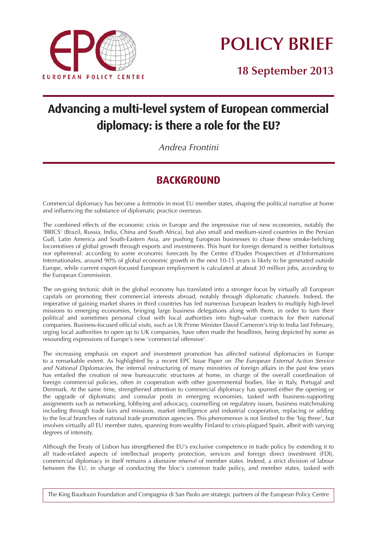

**POLICY BRIEF**

**18 September 2013**

# **Advancing a multi-level system of European commercial diplomacy: is there a role for the EU?**

*Andrea Frontini*

## **BACKGROUND**

*Commercial diplomacy has become a leitmotiv in most EU member states, shaping the political narrative at home and influencing the substance of diplomatic practice overseas.*

*The combined effects of the economic crisis in Europe and the impressive rise of new economies, notably the 'BRICS' (Brazil, Russia, India, China and South Africa), but also small and medium-sized countries in the Persian Gulf, Latin America and South-Eastern Asia, are pushing European businesses to chase these smoke-belching locomotives of global growth through exports and investments. This hunt for foreign demand is neither fortuitous nor ephemeral: according to some economic forecasts by the Centre d'Etudes Prospectives et d'Informations Internationales, around 90% of global economic growth in the next 10-15 years is likely to be generated outside Europe, while current export-focused European employment is calculated at about 30 million jobs, according to the European Commission.*

*The on-going tectonic shift in the global economy has translated into a stronger focus by virtually all European capitals on promoting their commercial interests abroad, notably through diplomatic channels. Indeed, the imperative of gaining market shares in third countries has led numerous European leaders to multiply high-level missions to emerging economies, bringing large business delegations along with them, in order to turn their political and sometimes personal clout with local authorities into high-value contracts for their national companies. Business-focused official visits, such as UK Prime Minister David Cameron's trip to India last February, urging local authorities to open up to UK companies, have often made the headlines, being depicted by some as resounding expressions of Europe's new 'commercial offensive'.*

*The increasing emphasis on export and investment promotion has affected national diplomacies in Europe to a remarkable extent. As highlighted by a recent EPC Issue Paper on The European External Action Service and National Diplomacies, the internal restructuring of many ministries of foreign affairs in the past few years*  has entailed the creation of new bureaucratic structures at home, in charge of the overall coordination of *foreign commercial policies, often in cooperation with other governmental bodies, like in Italy, Portugal and Denmark. At the same time, strengthened attention to commercial diplomacy has spurred either the opening or the upgrade of diplomatic and consular posts in emerging economies, tasked with business-supporting assignments such as networking, lobbying and advocacy, counselling on regulatory issues, business matchmaking including through trade fairs and missions, market intelligence and industrial cooperation, replacing or adding to the local branches of national trade promotion agencies. This phenomenon is not limited to the 'big three', but involves virtually all EU member states, spanning from wealthy Finland to crisis-plagued Spain, albeit with varying degrees of intensity.*

*Although the Treaty of Lisbon has strengthened the EU's exclusive competence in trade policy by extending it to all trade-related aspects of intellectual property protection, services and foreign direct investment (FDI), commercial diplomacy in itself remains a domaine réservé of member states. Indeed, a strict division of labour between the EU, in charge of conducting the bloc's common trade policy, and member states, tasked with*

*The King Baudouin Foundation and Compagnia di San Paolo are strategic partners of the European Policy Centre*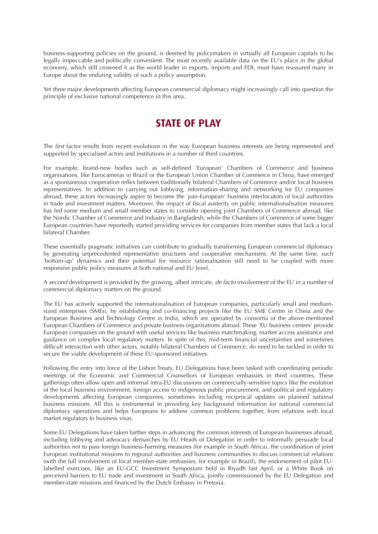business-supporting policies on the ground, is deemed by policymakers in virtually all European capitals to be legally impeccable and politically convenient. The most recently available data on the EU's place in the global economy, which still crowned it as the world leader in exports, imports and FDI, must have reassured many in Europe about the enduring validity of such a policy assumption.

Yet three major developments affecting European commercial diplomacy might increasingly call into question the principle of exclusive national competence in this area.

### **STATE OF PLAY**

The *first* factor results from recent evolutions in the way European business interests are being represented and supported by specialised actors and institutions in a number of third countries.

For example, brand-new bodies such as self-defined 'European' Chambers of Commerce and business organisations, like Eurocameras in Brazil or the European Union Chamber of Commerce in China, have emerged as a spontaneous cooperation reflex between traditionally bilateral Chambers of Commerce and/or local business representatives. In addition to carrying out lobbying, information-sharing and networking for EU companies abroad, these actors increasingly aspire to become the 'pan-European' business interlocutors of local authorities in trade and investment matters. Moreover, the impact of fiscal austerity on public internationalisation measures has led some medium and small member states to consider opening joint Chambers of Commerce abroad, like the Nordic Chamber of Commerce and Industry in Bangladesh, while the Chambers of Commerce of some bigger European countries have reportedly started providing services for companies from member states that lack a local bilateral Chamber.

These essentially pragmatic initiatives can contribute to gradually transforming European commercial diplomacy by generating unprecedented representative structures and cooperative mechanisms. At the same time, such 'bottom-up' dynamics and their potential for resource rationalisation still need to be coupled with more responsive public policy measures at both national and EU level.

A second development is provided by the growing, albeit intricate, de facto involvement of the EU in a number of commercial diplomacy matters on the ground.

The EU has actively supported the internationalisation of European companies, particularly small and mediumsized enterprises (SMEs), by establishing and co-financing projects like the EU SME Centre in China and the European Business and Technology Centre in India, which are operated by consortia of the above-mentioned European Chambers of Commerce and private business organisations abroad. These 'EU business centres' provide European companies on the ground with useful services like business matchmaking, market access assistance and guidance on complex local regulatory matters. In spite of this, mid-term financial uncertainties and sometimes difficult interaction with other actors, notably bilateral Chambers of Commerce, do need to be tackled in order to secure the viable development of these EU-sponsored initiatives.

Following the entry into force of the Lisbon Treaty, EU Delegations have been tasked with coordinating periodic meetings of the Economic and Commercial Counsellors of European embassies in third countries. These gatherings often allow open and informal intra-EU discussions on commercially-sensitive topics like the evolution of the local business environment, foreign access to indigenous public procurement, and political and regulatory developments affecting European companies, sometimes including reciprocal updates on planned national business missions. All this is instrumental in providing key background information for national commercial diplomacy operations and helps Europeans to address common problems together, from relations with local market regulators to business visas.

Some EU Delegations have taken further steps in advancing the common interests of European businesses abroad, including lobbying and advocacy demarches by EU Heads of Delegation in order to informally persuade local authorities not to pass foreign business-harming measures (for example in South Africa), the coordination of joint European institutional missions to regional authorities and business communities to discuss commercial relations (with the full involvement of local member-state embassies, for example in Brazil), the endorsement of pilot EUlabelled exercises, like an EU-GCC Investment Symposium held in Riyadh last April, or a White Book on perceived barriers to EU trade and investment in South Africa, jointly commissioned by the EU Delegation and member-state missions and financed by the Dutch Embassy in Pretoria.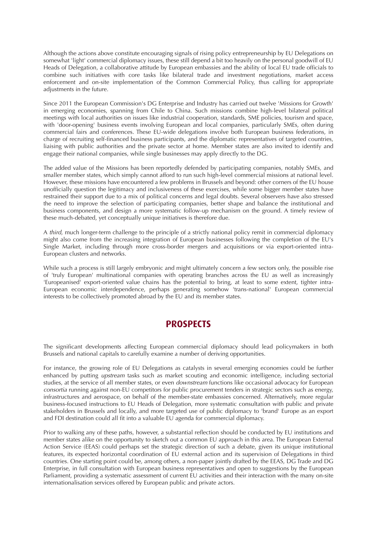Although the actions above constitute encouraging signals of rising policy entrepreneurship by EU Delegations on somewhat 'light' commercial diplomacy issues, these still depend a bit too heavily on the personal goodwill of EU Heads of Delegation, a collaborative attitude by European embassies and the ability of local EU trade officials to combine such initiatives with core tasks like bilateral trade and investment negotiations, market access enforcement and on-site implementation of the Common Commercial Policy, thus calling for appropriate adjustments in the future.

Since 2011 the European Commission's DG Enterprise and Industry has carried out twelve 'Missions for Growth' in emerging economies, spanning from Chile to China. Such missions combine high-level bilateral political meetings with local authorities on issues like industrial cooperation, standards, SME policies, tourism and space, with 'door-opening' business events involving European and local companies, particularly SMEs, often during commercial fairs and conferences. These EU-wide delegations involve both European business federations, in charge of recruiting self-financed business participants, and the diplomatic representatives of targeted countries, liaising with public authorities and the private sector at home. Member states are also invited to identify and engage their national companies, while single businesses may apply directly to the DG.

The added value of the Missions has been reportedly defended by participating companies, notably SMEs, and smaller member states, which simply cannot afford to run such high-level commercial missions at national level. However, these missions have encountered a few problems in Brussels and beyond: other corners of the EU house unofficially question the legitimacy and inclusiveness of these exercises, while some bigger member states have restrained their support due to a mix of political concerns and legal doubts. Several observers have also stressed the need to improve the selection of participating companies, better shape and balance the institutional and business components, and design a more systematic follow-up mechanism on the ground. A timely review of these much-debated, yet conceptually unique initiatives is therefore due.

A third, much longer-term challenge to the principle of a strictly national policy remit in commercial diplomacy might also come from the increasing integration of European businesses following the completion of the EU's Single Market, including through more cross-border mergers and acquisitions or via export-oriented intra-European clusters and networks.

While such a process is still largely embryonic and might ultimately concern a few sectors only, the possible rise of 'truly European' multinational companies with operating branches across the EU as well as increasingly 'Europeanised' export-oriented value chains has the potential to bring, at least to some extent, tighter intra-European economic interdependence, perhaps generating somehow 'trans-national' European commercial interests to be collectively promoted abroad by the EU and its member states.

#### **PROSPECTS**

The significant developments affecting European commercial diplomacy should lead policymakers in both Brussels and national capitals to carefully examine a number of deriving opportunities.

For instance, the growing role of EU Delegations as catalysts in several emerging economies could be further enhanced by putting upstream tasks such as market scouting and economic intelligence, including sectorial studies, at the service of all member states, or even *downstream* functions like occasional advocacy for European consortia running against non-EU competitors for public procurement tenders in strategic sectors such as energy, infrastructures and aerospace, on behalf of the member-state embassies concerned. Alternatively, more regular business-focused instructions to EU Heads of Delegation, more systematic consultation with public and private stakeholders in Brussels and locally, and more targeted use of public diplomacy to 'brand' Europe as an export and FDI destination could all fit into a valuable EU agenda for commercial diplomacy.

Prior to walking any of these paths, however, a substantial reflection should be conducted by EU institutions and member states alike on the opportunity to sketch out a common EU approach in this area. The European External Action Service (EEAS) could perhaps set the strategic direction of such a debate, given its unique institutional features, its expected horizontal coordination of EU external action and its supervision of Delegations in third countries. One starting point could be, among others, a non-paper jointly drafted by the EEAS, DG Trade and DG Enterprise, in full consultation with European business representatives and open to suggestions by the European Parliament, providing a systematic assessment of current EU activities and their interaction with the many on-site internationalisation services offered by European public and private actors.